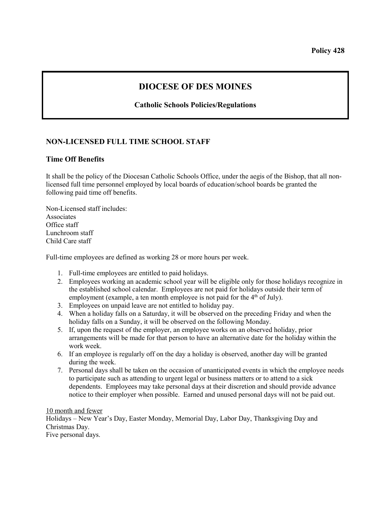## **DIOCESE OF DES MOINES**

## **Catholic Schools Policies/Regulations**

## **NON-LICENSED FULL TIME SCHOOL STAFF**

## **Time Off Benefits**

It shall be the policy of the Diocesan Catholic Schools Office, under the aegis of the Bishop, that all nonlicensed full time personnel employed by local boards of education/school boards be granted the following paid time off benefits.

Non-Licensed staff includes: **Associates** Office staff Lunchroom staff Child Care staff

Full-time employees are defined as working 28 or more hours per week.

- 1. Full-time employees are entitled to paid holidays.
- 2. Employees working an academic school year will be eligible only for those holidays recognize in the established school calendar. Employees are not paid for holidays outside their term of employment (example, a ten month employee is not paid for the  $4<sup>th</sup>$  of July).
- 3. Employees on unpaid leave are not entitled to holiday pay.
- 4. When a holiday falls on a Saturday, it will be observed on the preceding Friday and when the holiday falls on a Sunday, it will be observed on the following Monday.
- 5. If, upon the request of the employer, an employee works on an observed holiday, prior arrangements will be made for that person to have an alternative date for the holiday within the work week.
- 6. If an employee is regularly off on the day a holiday is observed, another day will be granted during the week.
- 7. Personal days shall be taken on the occasion of unanticipated events in which the employee needs to participate such as attending to urgent legal or business matters or to attend to a sick dependents. Employees may take personal days at their discretion and should provide advance notice to their employer when possible. Earned and unused personal days will not be paid out.

10 month and fewer Holidays – New Year's Day, Easter Monday, Memorial Day, Labor Day, Thanksgiving Day and Christmas Day. Five personal days.